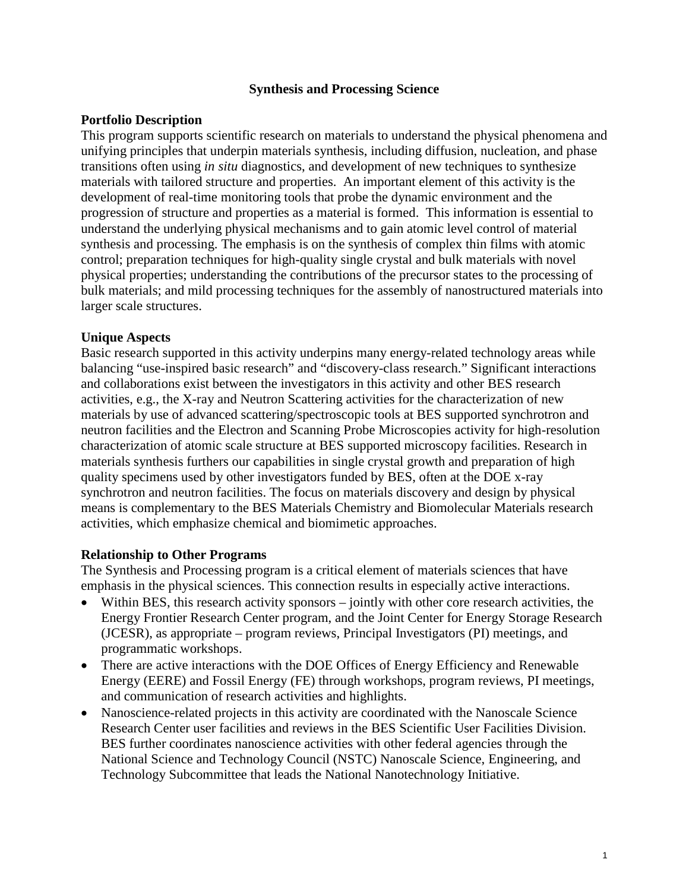## **Synthesis and Processing Science**

## **Portfolio Description**

This program supports scientific research on materials to understand the physical phenomena and unifying principles that underpin materials synthesis, including diffusion, nucleation, and phase transitions often using *in situ* diagnostics, and development of new techniques to synthesize materials with tailored structure and properties. An important element of this activity is the development of real-time monitoring tools that probe the dynamic environment and the progression of structure and properties as a material is formed. This information is essential to understand the underlying physical mechanisms and to gain atomic level control of material synthesis and processing. The emphasis is on the synthesis of complex thin films with atomic control; preparation techniques for high-quality single crystal and bulk materials with novel physical properties; understanding the contributions of the precursor states to the processing of bulk materials; and mild processing techniques for the assembly of nanostructured materials into larger scale structures.

#### **Unique Aspects**

Basic research supported in this activity underpins many energy-related technology areas while balancing "use-inspired basic research" and "discovery-class research." Significant interactions and collaborations exist between the investigators in this activity and other BES research activities, e.g., the X-ray and Neutron Scattering activities for the characterization of new materials by use of advanced scattering/spectroscopic tools at BES supported synchrotron and neutron facilities and the Electron and Scanning Probe Microscopies activity for high-resolution characterization of atomic scale structure at BES supported microscopy facilities. Research in materials synthesis furthers our capabilities in single crystal growth and preparation of high quality specimens used by other investigators funded by BES, often at the DOE x-ray synchrotron and neutron facilities. The focus on materials discovery and design by physical means is complementary to the BES Materials Chemistry and Biomolecular Materials research activities, which emphasize chemical and biomimetic approaches.

#### **Relationship to Other Programs**

The Synthesis and Processing program is a critical element of materials sciences that have emphasis in the physical sciences. This connection results in especially active interactions.

- Within BES, this research activity sponsors jointly with other core research activities, the Energy Frontier Research Center program, and the Joint Center for Energy Storage Research (JCESR), as appropriate – program reviews, Principal Investigators (PI) meetings, and programmatic workshops.
- There are active interactions with the DOE Offices of Energy Efficiency and Renewable Energy (EERE) and Fossil Energy (FE) through workshops, program reviews, PI meetings, and communication of research activities and highlights.
- Nanoscience-related projects in this activity are coordinated with the Nanoscale Science Research Center user facilities and reviews in the BES Scientific User Facilities Division. BES further coordinates nanoscience activities with other federal agencies through the National Science and Technology Council (NSTC) Nanoscale Science, Engineering, and Technology Subcommittee that leads the National Nanotechnology Initiative.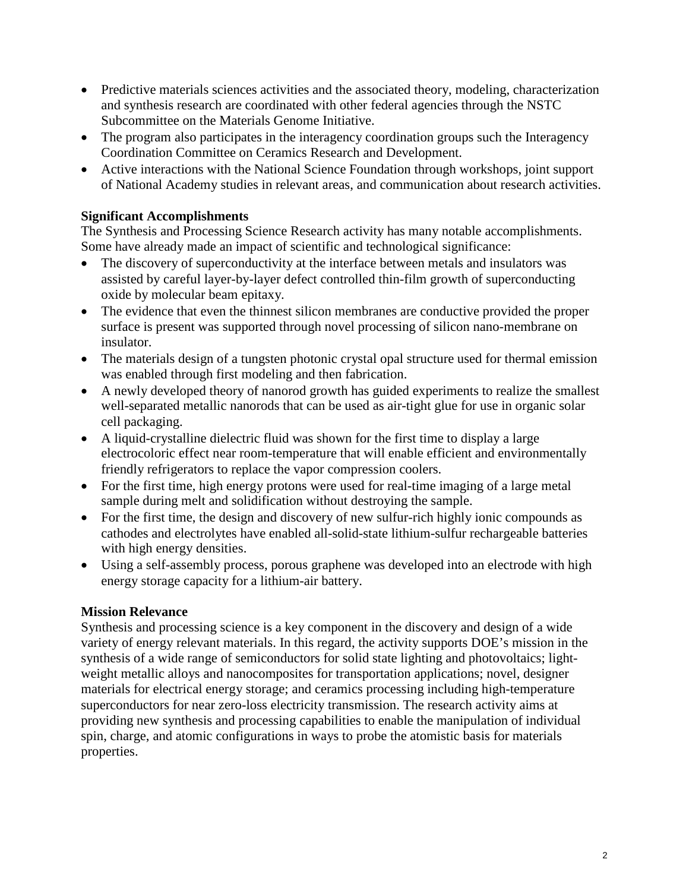- Predictive materials sciences activities and the associated theory, modeling, characterization and synthesis research are coordinated with other federal agencies through the NSTC Subcommittee on the Materials Genome Initiative.
- The program also participates in the interagency coordination groups such the Interagency Coordination Committee on Ceramics Research and Development.
- Active interactions with the National Science Foundation through workshops, joint support of National Academy studies in relevant areas, and communication about research activities.

# **Significant Accomplishments**

The Synthesis and Processing Science Research activity has many notable accomplishments. Some have already made an impact of scientific and technological significance:

- The discovery of superconductivity at the interface between metals and insulators was assisted by careful layer-by-layer defect controlled thin-film growth of superconducting oxide by molecular beam epitaxy.
- The evidence that even the thinnest silicon membranes are conductive provided the proper surface is present was supported through novel processing of silicon nano-membrane on insulator.
- The materials design of a tungsten photonic crystal opal structure used for thermal emission was enabled through first modeling and then fabrication.
- A newly developed theory of nanorod growth has guided experiments to realize the smallest well-separated metallic nanorods that can be used as air-tight glue for use in organic solar cell packaging.
- A liquid-crystalline dielectric fluid was shown for the first time to display a large electrocoloric effect near room-temperature that will enable efficient and environmentally friendly refrigerators to replace the vapor compression coolers.
- For the first time, high energy protons were used for real-time imaging of a large metal sample during melt and solidification without destroying the sample.
- For the first time, the design and discovery of new sulfur-rich highly ionic compounds as cathodes and electrolytes have enabled all-solid-state lithium-sulfur rechargeable batteries with high energy densities.
- Using a self-assembly process, porous graphene was developed into an electrode with high energy storage capacity for a lithium-air battery.

# **Mission Relevance**

Synthesis and processing science is a key component in the discovery and design of a wide variety of energy relevant materials. In this regard, the activity supports DOE's mission in the synthesis of a wide range of semiconductors for solid state lighting and photovoltaics; lightweight metallic alloys and nanocomposites for transportation applications; novel, designer materials for electrical energy storage; and ceramics processing including high-temperature superconductors for near zero-loss electricity transmission. The research activity aims at providing new synthesis and processing capabilities to enable the manipulation of individual spin, charge, and atomic configurations in ways to probe the atomistic basis for materials properties.